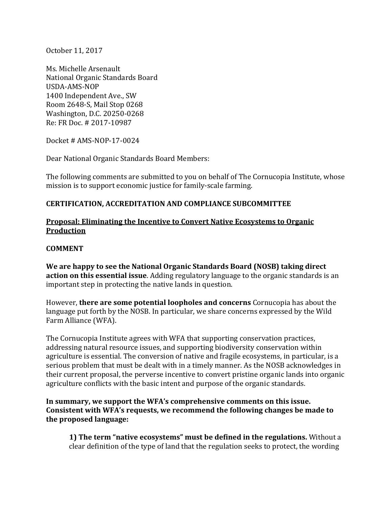October 11, 2017

Ms. Michelle Arsenault National Organic Standards Board USDA-AMS-NOP 1400 Independent Ave., SW Room 2648-S, Mail Stop 0268 Washington, D.C. 20250-0268 Re: FR Doc. # 2017-10987

Docket # AMS-NOP-17-0024

Dear National Organic Standards Board Members:

The following comments are submitted to you on behalf of The Cornucopia Institute, whose mission is to support economic justice for family-scale farming.

### **CERTIFICATION, ACCREDITATION AND COMPLIANCE SUBCOMMITTEE**

### **Proposal: Eliminating the Incentive to Convert Native Ecosystems to Organic Production**

### **COMMENT**

**We are happy to see the National Organic Standards Board (NOSB) taking direct action on this essential issue**. Adding regulatory language to the organic standards is an important step in protecting the native lands in question.

However, **there are some potential loopholes and concerns** Cornucopia has about the language put forth by the NOSB. In particular, we share concerns expressed by the Wild Farm Alliance (WFA).

The Cornucopia Institute agrees with WFA that supporting conservation practices, addressing natural resource issues, and supporting biodiversity conservation within agriculture is essential. The conversion of native and fragile ecosystems, in particular, is a serious problem that must be dealt with in a timely manner. As the NOSB acknowledges in their current proposal, the perverse incentive to convert pristine organic lands into organic agriculture conflicts with the basic intent and purpose of the organic standards.

### In summary, we support the WFA's comprehensive comments on this issue. **Consistent with WFA's requests, we recommend the following changes be made to the proposed language:**

**1) The term "native ecosystems" must be defined in the regulations.** Without a clear definition of the type of land that the regulation seeks to protect, the wording